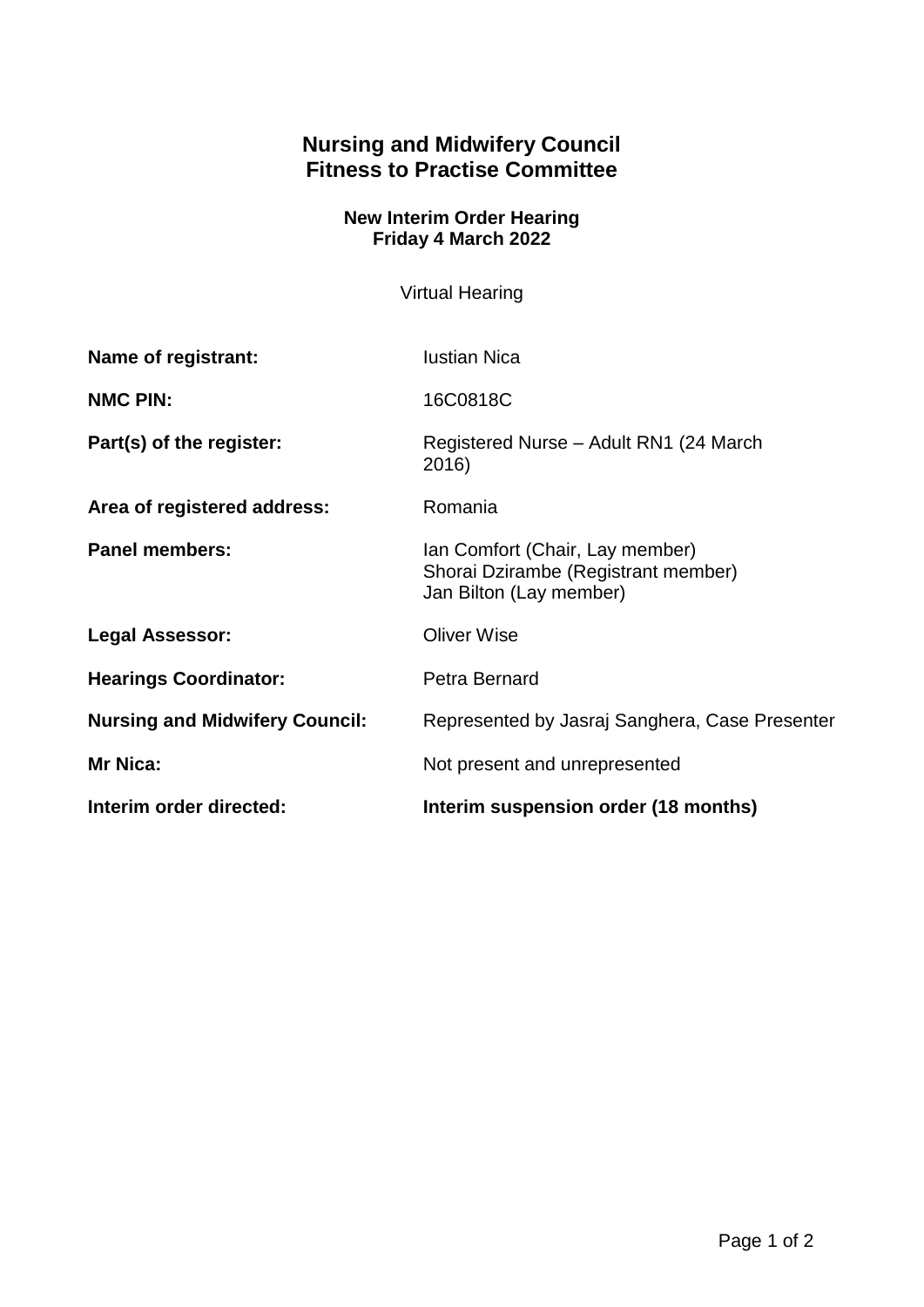## **Nursing and Midwifery Council Fitness to Practise Committee**

## **New Interim Order Hearing Friday 4 March 2022**

Virtual Hearing

| Name of registrant:                   | <b>Iustian Nica</b>                                                                               |
|---------------------------------------|---------------------------------------------------------------------------------------------------|
| <b>NMC PIN:</b>                       | 16C0818C                                                                                          |
| Part(s) of the register:              | Registered Nurse - Adult RN1 (24 March)<br>2016)                                                  |
| Area of registered address:           | Romania                                                                                           |
| <b>Panel members:</b>                 | Ian Comfort (Chair, Lay member)<br>Shorai Dzirambe (Registrant member)<br>Jan Bilton (Lay member) |
| <b>Legal Assessor:</b>                | <b>Oliver Wise</b>                                                                                |
| <b>Hearings Coordinator:</b>          | Petra Bernard                                                                                     |
| <b>Nursing and Midwifery Council:</b> | Represented by Jasraj Sanghera, Case Presenter                                                    |
| <b>Mr Nica:</b>                       | Not present and unrepresented                                                                     |
| Interim order directed:               | Interim suspension order (18 months)                                                              |